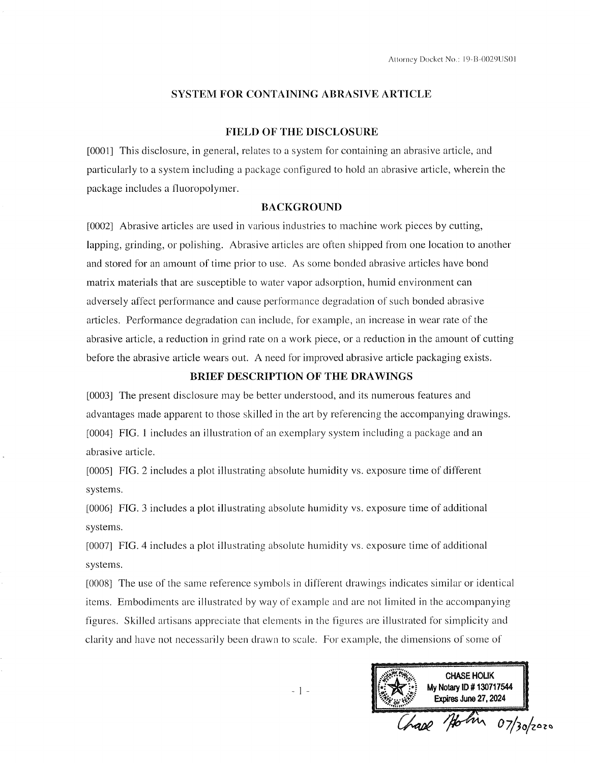### **SYSTEM FOR CONTAINING ABRASIVE ARTICLE**

### **FIELD OF THE DISCLOSURE**

[0001] This disclosure, in general, relates to a system for containing an abrasive article, and particularly to a system including a package configured to hold an abrasive article, wherein the package includes a fluoropolymer.

## **BACKGROUND**

[0002] Abrasive articles are used in various industries to machine work pieces by cutting, lapping, grinding, or polishing. Abrasive articles are often shipped from one location to another and stored for an amount of time prior to use. As some bonded abrasive articles have bond matrix materials that are susceptible to water vapor adsorption, humid environment can adversely affect performance and cause performance degradation of such bonded abrasive articles. Performance degradation can include, for example, an increase in wear rate of the abrasive article, a reduction in grind rate on a work piece, or a reduction in the amount of cutting before the abrasive article wears out. A need for improved abrasive article packaging exists.

## BRIEF DESCRIPTION OF THE DRAWINGS

[0003] The present disclosure may be better understood, and its numerous features and advantages made apparent to those skilled in the art by referencing the accompanying drawings. [0004] FIG. 1 includes an illustration of an exemplary system including a package and an abrasive article.

[0005] FIG. 2 includes a plot illustrating absolute humidity vs. exposure time of different systems.

[0006] FIG. 3 includes a plot illustrating absolute humidity vs. exposure time of additional systems.

[0007] FIG. 4 includes a plot illustrating absolute humidity vs. exposure time of additional systems.

[0008] The use of the same reference symbols in different drawings indicates similar or identical items. Embodiments are illustrated by way of example and are not limited in the accompanying figures. Skilled artisans appreciate that elements in the figures are illustrated for simplicity and clarity and have not necessarily been drawn to scale. For example, the dimensions of some of

**CHASE HOLIK** My Notary ID # 130717544 Expires June 27, 2024 Holm 07/30/2020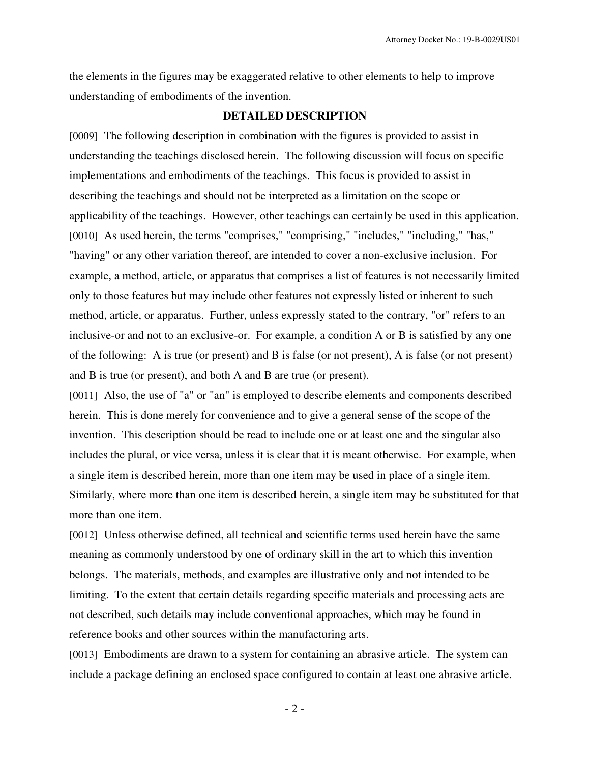the elements in the figures may be exaggerated relative to other elements to help to improve understanding of embodiments of the invention.

## **DETAILED DESCRIPTION**

[0009] The following description in combination with the figures is provided to assist in understanding the teachings disclosed herein. The following discussion will focus on specific implementations and embodiments of the teachings. This focus is provided to assist in describing the teachings and should not be interpreted as a limitation on the scope or applicability of the teachings. However, other teachings can certainly be used in this application. [0010] As used herein, the terms "comprises," "comprising," "includes," "including," "has," "having" or any other variation thereof, are intended to cover a non-exclusive inclusion. For example, a method, article, or apparatus that comprises a list of features is not necessarily limited only to those features but may include other features not expressly listed or inherent to such method, article, or apparatus. Further, unless expressly stated to the contrary, "or" refers to an inclusive-or and not to an exclusive-or. For example, a condition A or B is satisfied by any one of the following: A is true (or present) and B is false (or not present), A is false (or not present) and B is true (or present), and both A and B are true (or present).

[0011] Also, the use of "a" or "an" is employed to describe elements and components described herein. This is done merely for convenience and to give a general sense of the scope of the invention. This description should be read to include one or at least one and the singular also includes the plural, or vice versa, unless it is clear that it is meant otherwise. For example, when a single item is described herein, more than one item may be used in place of a single item. Similarly, where more than one item is described herein, a single item may be substituted for that more than one item.

[0012] Unless otherwise defined, all technical and scientific terms used herein have the same meaning as commonly understood by one of ordinary skill in the art to which this invention belongs. The materials, methods, and examples are illustrative only and not intended to be limiting. To the extent that certain details regarding specific materials and processing acts are not described, such details may include conventional approaches, which may be found in reference books and other sources within the manufacturing arts.

[0013] Embodiments are drawn to a system for containing an abrasive article. The system can include a package defining an enclosed space configured to contain at least one abrasive article.

- 2 -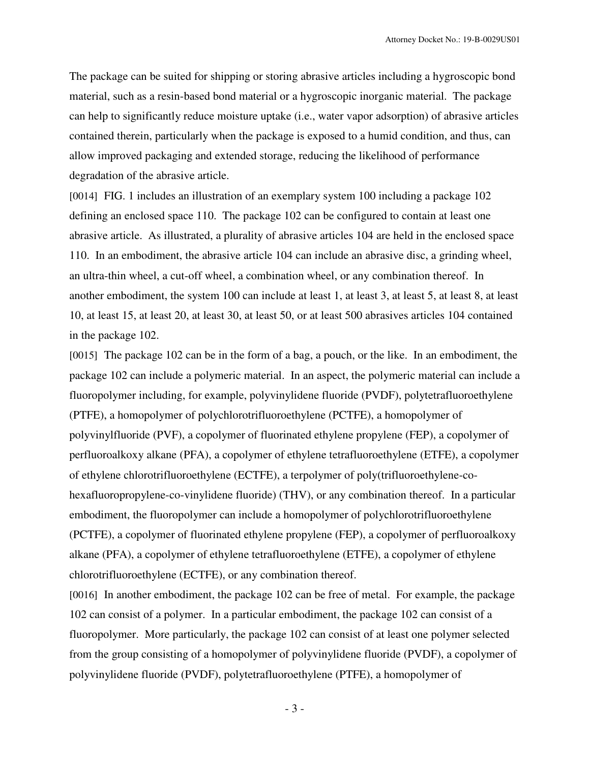The package can be suited for shipping or storing abrasive articles including a hygroscopic bond material, such as a resin-based bond material or a hygroscopic inorganic material. The package can help to significantly reduce moisture uptake (i.e., water vapor adsorption) of abrasive articles contained therein, particularly when the package is exposed to a humid condition, and thus, can allow improved packaging and extended storage, reducing the likelihood of performance degradation of the abrasive article.

[0014] FIG. 1 includes an illustration of an exemplary system 100 including a package 102 defining an enclosed space 110. The package 102 can be configured to contain at least one abrasive article. As illustrated, a plurality of abrasive articles 104 are held in the enclosed space 110. In an embodiment, the abrasive article 104 can include an abrasive disc, a grinding wheel, an ultra-thin wheel, a cut-off wheel, a combination wheel, or any combination thereof. In another embodiment, the system 100 can include at least 1, at least 3, at least 5, at least 8, at least 10, at least 15, at least 20, at least 30, at least 50, or at least 500 abrasives articles 104 contained in the package 102.

[0015] The package 102 can be in the form of a bag, a pouch, or the like. In an embodiment, the package 102 can include a polymeric material. In an aspect, the polymeric material can include a fluoropolymer including, for example, polyvinylidene fluoride (PVDF), polytetrafluoroethylene (PTFE), a homopolymer of polychlorotrifluoroethylene (PCTFE), a homopolymer of polyvinylfluoride (PVF), a copolymer of fluorinated ethylene propylene (FEP), a copolymer of perfluoroalkoxy alkane (PFA), a copolymer of ethylene tetrafluoroethylene (ETFE), a copolymer of ethylene chlorotrifluoroethylene (ECTFE), a terpolymer of poly(trifluoroethylene-cohexafluoropropylene-co-vinylidene fluoride) (THV), or any combination thereof. In a particular embodiment, the fluoropolymer can include a homopolymer of polychlorotrifluoroethylene (PCTFE), a copolymer of fluorinated ethylene propylene (FEP), a copolymer of perfluoroalkoxy alkane (PFA), a copolymer of ethylene tetrafluoroethylene (ETFE), a copolymer of ethylene chlorotrifluoroethylene (ECTFE), or any combination thereof.

[0016] In another embodiment, the package 102 can be free of metal. For example, the package 102 can consist of a polymer. In a particular embodiment, the package 102 can consist of a fluoropolymer. More particularly, the package 102 can consist of at least one polymer selected from the group consisting of a homopolymer of polyvinylidene fluoride (PVDF), a copolymer of polyvinylidene fluoride (PVDF), polytetrafluoroethylene (PTFE), a homopolymer of

- 3 -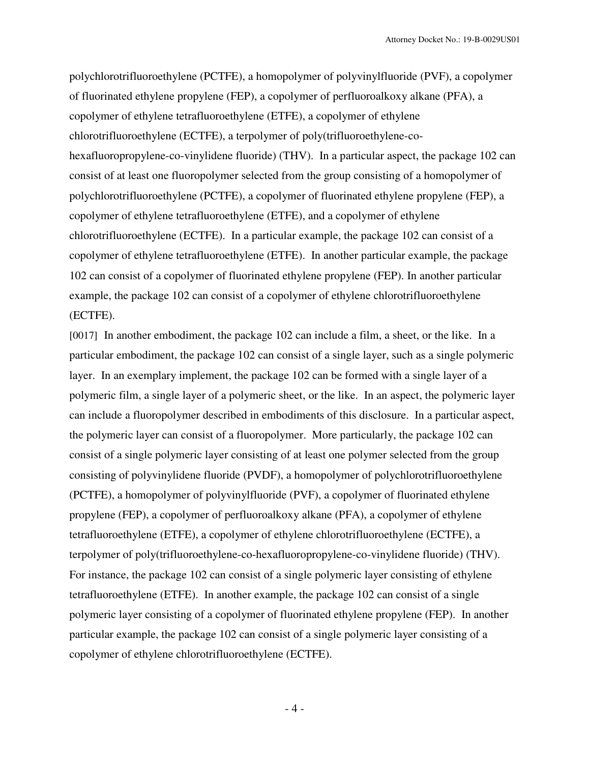polychlorotrifluoroethylene (PCTFE), a homopolymer of polyvinylfluoride (PVF), a copolymer of fluorinated ethylene propylene (FEP), a copolymer of perfluoroalkoxy alkane (PFA), a copolymer of ethylene tetrafluoroethylene (ETFE), a copolymer of ethylene chlorotrifluoroethylene (ECTFE), a terpolymer of poly(trifluoroethylene-cohexafluoropropylene-co-vinylidene fluoride) (THV). In a particular aspect, the package 102 can consist of at least one fluoropolymer selected from the group consisting of a homopolymer of polychlorotrifluoroethylene (PCTFE), a copolymer of fluorinated ethylene propylene (FEP), a copolymer of ethylene tetrafluoroethylene (ETFE), and a copolymer of ethylene chlorotrifluoroethylene (ECTFE). In a particular example, the package 102 can consist of a copolymer of ethylene tetrafluoroethylene (ETFE). In another particular example, the package 102 can consist of a copolymer of fluorinated ethylene propylene (FEP). In another particular example, the package 102 can consist of a copolymer of ethylene chlorotrifluoroethylene (ECTFE).

[0017] In another embodiment, the package 102 can include a film, a sheet, or the like. In a particular embodiment, the package 102 can consist of a single layer, such as a single polymeric layer. In an exemplary implement, the package 102 can be formed with a single layer of a polymeric film, a single layer of a polymeric sheet, or the like. In an aspect, the polymeric layer can include a fluoropolymer described in embodiments of this disclosure. In a particular aspect, the polymeric layer can consist of a fluoropolymer. More particularly, the package 102 can consist of a single polymeric layer consisting of at least one polymer selected from the group consisting of polyvinylidene fluoride (PVDF), a homopolymer of polychlorotrifluoroethylene (PCTFE), a homopolymer of polyvinylfluoride (PVF), a copolymer of fluorinated ethylene propylene (FEP), a copolymer of perfluoroalkoxy alkane (PFA), a copolymer of ethylene tetrafluoroethylene (ETFE), a copolymer of ethylene chlorotrifluoroethylene (ECTFE), a terpolymer of poly(trifluoroethylene-co-hexafluoropropylene-co-vinylidene fluoride) (THV). For instance, the package 102 can consist of a single polymeric layer consisting of ethylene tetrafluoroethylene (ETFE). In another example, the package 102 can consist of a single polymeric layer consisting of a copolymer of fluorinated ethylene propylene (FEP). In another particular example, the package 102 can consist of a single polymeric layer consisting of a copolymer of ethylene chlorotrifluoroethylene (ECTFE).

- 4 -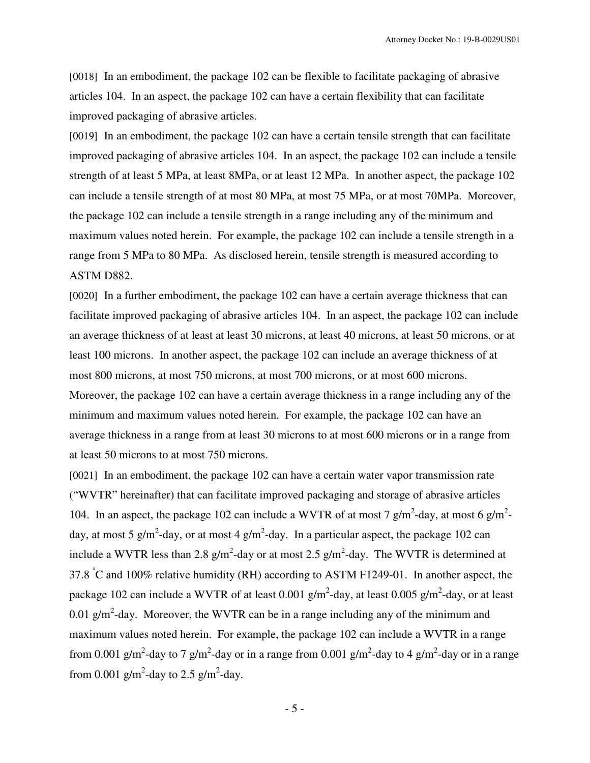[0018] In an embodiment, the package 102 can be flexible to facilitate packaging of abrasive articles 104. In an aspect, the package 102 can have a certain flexibility that can facilitate improved packaging of abrasive articles.

[0019] In an embodiment, the package 102 can have a certain tensile strength that can facilitate improved packaging of abrasive articles 104. In an aspect, the package 102 can include a tensile strength of at least 5 MPa, at least 8MPa, or at least 12 MPa. In another aspect, the package 102 can include a tensile strength of at most 80 MPa, at most 75 MPa, or at most 70MPa. Moreover, the package 102 can include a tensile strength in a range including any of the minimum and maximum values noted herein. For example, the package 102 can include a tensile strength in a range from 5 MPa to 80 MPa. As disclosed herein, tensile strength is measured according to ASTM D882.

[0020] In a further embodiment, the package 102 can have a certain average thickness that can facilitate improved packaging of abrasive articles 104. In an aspect, the package 102 can include an average thickness of at least at least 30 microns, at least 40 microns, at least 50 microns, or at least 100 microns. In another aspect, the package 102 can include an average thickness of at most 800 microns, at most 750 microns, at most 700 microns, or at most 600 microns. Moreover, the package 102 can have a certain average thickness in a range including any of the minimum and maximum values noted herein. For example, the package 102 can have an average thickness in a range from at least 30 microns to at most 600 microns or in a range from at least 50 microns to at most 750 microns.

[0021] In an embodiment, the package 102 can have a certain water vapor transmission rate ("WVTR" hereinafter) that can facilitate improved packaging and storage of abrasive articles 104. In an aspect, the package 102 can include a WVTR of at most 7  $g/m^2$ -day, at most 6  $g/m^2$ day, at most 5 g/m<sup>2</sup>-day, or at most 4 g/m<sup>2</sup>-day. In a particular aspect, the package 102 can include a WVTR less than 2.8  $g/m^2$ -day or at most 2.5  $g/m^2$ -day. The WVTR is determined at 37.8  $\degree$ C and 100% relative humidity (RH) according to ASTM F1249-01. In another aspect, the package 102 can include a WVTR of at least 0.001  $g/m^2$ -day, at least 0.005  $g/m^2$ -day, or at least 0.01 g/m<sup>2</sup>-day. Moreover, the WVTR can be in a range including any of the minimum and maximum values noted herein. For example, the package 102 can include a WVTR in a range from 0.001 g/m<sup>2</sup>-day to 7 g/m<sup>2</sup>-day or in a range from 0.001 g/m<sup>2</sup>-day to 4 g/m<sup>2</sup>-day or in a range from 0.001  $\text{g/m}^2$ -day to 2.5  $\text{g/m}^2$ -day.

- 5 -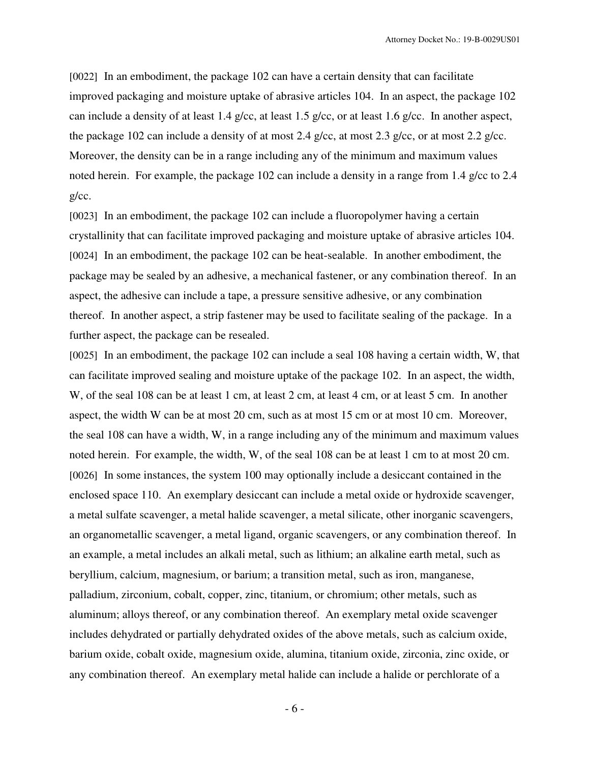[0022] In an embodiment, the package 102 can have a certain density that can facilitate improved packaging and moisture uptake of abrasive articles 104. In an aspect, the package 102 can include a density of at least 1.4 g/cc, at least 1.5 g/cc, or at least 1.6 g/cc. In another aspect, the package 102 can include a density of at most 2.4 g/cc, at most 2.3 g/cc, or at most 2.2 g/cc. Moreover, the density can be in a range including any of the minimum and maximum values noted herein. For example, the package 102 can include a density in a range from 1.4 g/cc to 2.4 g/cc.

[0023] In an embodiment, the package 102 can include a fluoropolymer having a certain crystallinity that can facilitate improved packaging and moisture uptake of abrasive articles 104. [0024] In an embodiment, the package 102 can be heat-sealable. In another embodiment, the package may be sealed by an adhesive, a mechanical fastener, or any combination thereof. In an aspect, the adhesive can include a tape, a pressure sensitive adhesive, or any combination thereof. In another aspect, a strip fastener may be used to facilitate sealing of the package. In a further aspect, the package can be resealed.

[0025] In an embodiment, the package 102 can include a seal 108 having a certain width, W, that can facilitate improved sealing and moisture uptake of the package 102. In an aspect, the width, W, of the seal 108 can be at least 1 cm, at least 2 cm, at least 4 cm, or at least 5 cm. In another aspect, the width W can be at most 20 cm, such as at most 15 cm or at most 10 cm. Moreover, the seal 108 can have a width, W, in a range including any of the minimum and maximum values noted herein. For example, the width, W, of the seal 108 can be at least 1 cm to at most 20 cm. [0026] In some instances, the system 100 may optionally include a desiccant contained in the enclosed space 110. An exemplary desiccant can include a metal oxide or hydroxide scavenger, a metal sulfate scavenger, a metal halide scavenger, a metal silicate, other inorganic scavengers, an organometallic scavenger, a metal ligand, organic scavengers, or any combination thereof. In an example, a metal includes an alkali metal, such as lithium; an alkaline earth metal, such as beryllium, calcium, magnesium, or barium; a transition metal, such as iron, manganese, palladium, zirconium, cobalt, copper, zinc, titanium, or chromium; other metals, such as aluminum; alloys thereof, or any combination thereof. An exemplary metal oxide scavenger includes dehydrated or partially dehydrated oxides of the above metals, such as calcium oxide, barium oxide, cobalt oxide, magnesium oxide, alumina, titanium oxide, zirconia, zinc oxide, or any combination thereof. An exemplary metal halide can include a halide or perchlorate of a

- 6 -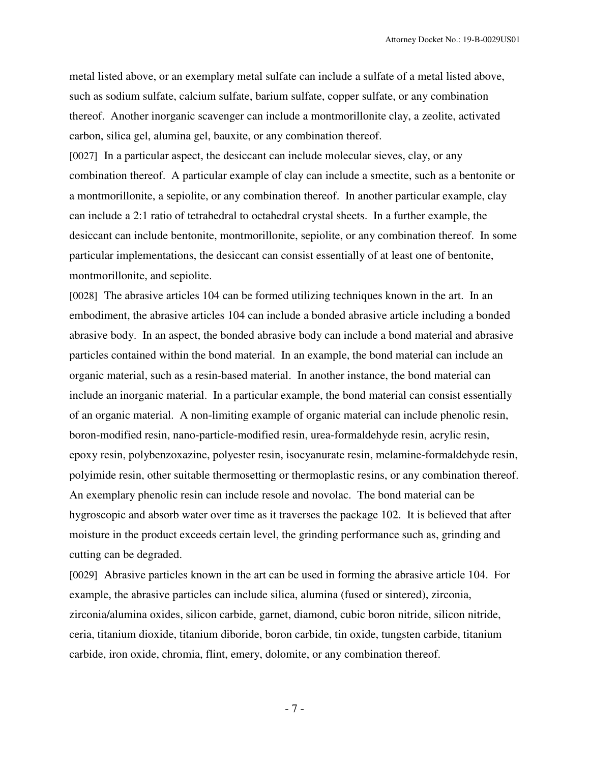metal listed above, or an exemplary metal sulfate can include a sulfate of a metal listed above, such as sodium sulfate, calcium sulfate, barium sulfate, copper sulfate, or any combination thereof. Another inorganic scavenger can include a montmorillonite clay, a zeolite, activated carbon, silica gel, alumina gel, bauxite, or any combination thereof.

[0027] In a particular aspect, the desiccant can include molecular sieves, clay, or any combination thereof. A particular example of clay can include a smectite, such as a bentonite or a montmorillonite, a sepiolite, or any combination thereof. In another particular example, clay can include a 2:1 ratio of tetrahedral to octahedral crystal sheets. In a further example, the desiccant can include bentonite, montmorillonite, sepiolite, or any combination thereof. In some particular implementations, the desiccant can consist essentially of at least one of bentonite, montmorillonite, and sepiolite.

[0028] The abrasive articles 104 can be formed utilizing techniques known in the art. In an embodiment, the abrasive articles 104 can include a bonded abrasive article including a bonded abrasive body. In an aspect, the bonded abrasive body can include a bond material and abrasive particles contained within the bond material. In an example, the bond material can include an organic material, such as a resin-based material. In another instance, the bond material can include an inorganic material. In a particular example, the bond material can consist essentially of an organic material. A non-limiting example of organic material can include phenolic resin, boron-modified resin, nano-particle-modified resin, urea-formaldehyde resin, acrylic resin, epoxy resin, polybenzoxazine, polyester resin, isocyanurate resin, melamine-formaldehyde resin, polyimide resin, other suitable thermosetting or thermoplastic resins, or any combination thereof. An exemplary phenolic resin can include resole and novolac. The bond material can be hygroscopic and absorb water over time as it traverses the package 102. It is believed that after moisture in the product exceeds certain level, the grinding performance such as, grinding and cutting can be degraded.

[0029] Abrasive particles known in the art can be used in forming the abrasive article 104. For example, the abrasive particles can include silica, alumina (fused or sintered), zirconia, zirconia/alumina oxides, silicon carbide, garnet, diamond, cubic boron nitride, silicon nitride, ceria, titanium dioxide, titanium diboride, boron carbide, tin oxide, tungsten carbide, titanium carbide, iron oxide, chromia, flint, emery, dolomite, or any combination thereof.

- 7 -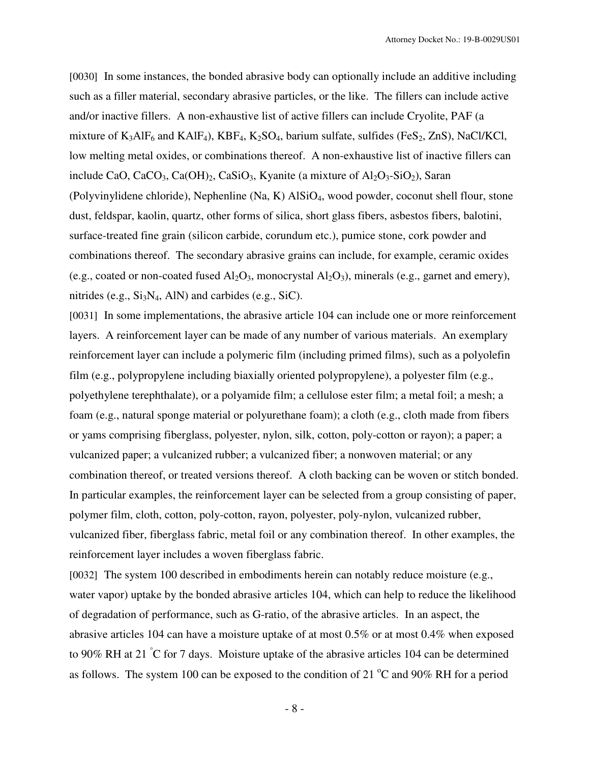[0030] In some instances, the bonded abrasive body can optionally include an additive including such as a filler material, secondary abrasive particles, or the like. The fillers can include active and/or inactive fillers. A non-exhaustive list of active fillers can include Cryolite, PAF (a mixture of  $K_3AIF_6$  and  $KAlF_4$ ),  $KBF_4$ ,  $K_2SO_4$ , barium sulfate, sulfides (Fe $S_2$ , ZnS), NaCl/KCl, low melting metal oxides, or combinations thereof. A non-exhaustive list of inactive fillers can include CaO, CaCO<sub>3</sub>, Ca(OH)<sub>2</sub>, CaSiO<sub>3</sub>, Kyanite (a mixture of  $Al_2O_3-SiO_2$ ), Saran (Polyvinylidene chloride), Nephenline (Na, K) AlSiO<sub>4</sub>, wood powder, coconut shell flour, stone dust, feldspar, kaolin, quartz, other forms of silica, short glass fibers, asbestos fibers, balotini, surface-treated fine grain (silicon carbide, corundum etc.), pumice stone, cork powder and combinations thereof. The secondary abrasive grains can include, for example, ceramic oxides (e.g., coated or non-coated fused  $Al_2O_3$ , monocrystal  $Al_2O_3$ ), minerals (e.g., garnet and emery), nitrides (e.g.,  $Si<sub>3</sub>N<sub>4</sub>$ , AlN) and carbides (e.g., SiC).

[0031] In some implementations, the abrasive article 104 can include one or more reinforcement layers. A reinforcement layer can be made of any number of various materials. An exemplary reinforcement layer can include a polymeric film (including primed films), such as a polyolefin film (e.g., polypropylene including biaxially oriented polypropylene), a polyester film (e.g., polyethylene terephthalate), or a polyamide film; a cellulose ester film; a metal foil; a mesh; a foam (e.g., natural sponge material or polyurethane foam); a cloth (e.g., cloth made from fibers or yams comprising fiberglass, polyester, nylon, silk, cotton, poly-cotton or rayon); a paper; a vulcanized paper; a vulcanized rubber; a vulcanized fiber; a nonwoven material; or any combination thereof, or treated versions thereof. A cloth backing can be woven or stitch bonded. In particular examples, the reinforcement layer can be selected from a group consisting of paper, polymer film, cloth, cotton, poly-cotton, rayon, polyester, poly-nylon, vulcanized rubber, vulcanized fiber, fiberglass fabric, metal foil or any combination thereof. In other examples, the reinforcement layer includes a woven fiberglass fabric.

[0032] The system 100 described in embodiments herein can notably reduce moisture (e.g., water vapor) uptake by the bonded abrasive articles 104, which can help to reduce the likelihood of degradation of performance, such as G-ratio, of the abrasive articles. In an aspect, the abrasive articles 104 can have a moisture uptake of at most 0.5% or at most 0.4% when exposed to 90% RH at 21 °C for 7 days. Moisture uptake of the abrasive articles 104 can be determined as follows. The system 100 can be exposed to the condition of 21  $^{\circ}$ C and 90% RH for a period

- 8 -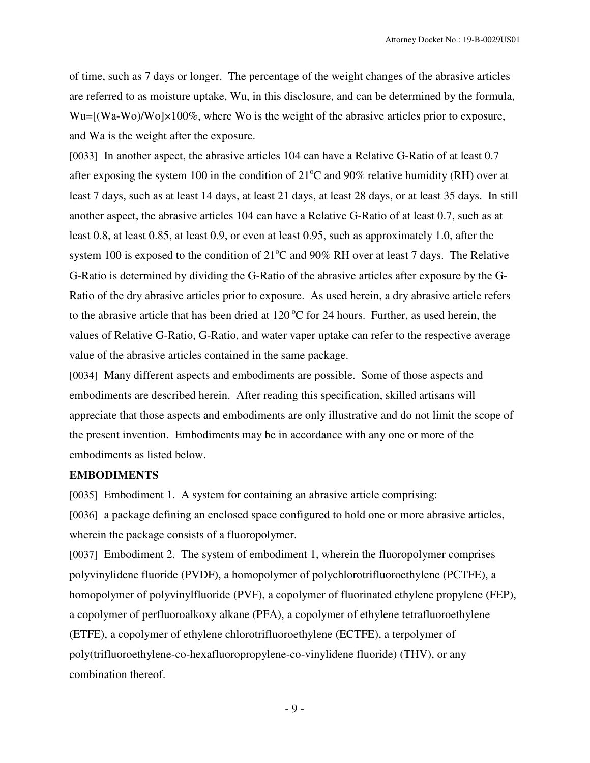of time, such as 7 days or longer. The percentage of the weight changes of the abrasive articles are referred to as moisture uptake, Wu, in this disclosure, and can be determined by the formula, Wu=[(Wa-Wo)/Wo]×100%, where Wo is the weight of the abrasive articles prior to exposure, and Wa is the weight after the exposure.

[0033] In another aspect, the abrasive articles 104 can have a Relative G-Ratio of at least 0.7 after exposing the system 100 in the condition of  $21^{\circ}$ C and 90% relative humidity (RH) over at least 7 days, such as at least 14 days, at least 21 days, at least 28 days, or at least 35 days. In still another aspect, the abrasive articles 104 can have a Relative G-Ratio of at least 0.7, such as at least 0.8, at least 0.85, at least 0.9, or even at least 0.95, such as approximately 1.0, after the system 100 is exposed to the condition of  $21^{\circ}$ C and 90% RH over at least 7 days. The Relative G-Ratio is determined by dividing the G-Ratio of the abrasive articles after exposure by the G-Ratio of the dry abrasive articles prior to exposure. As used herein, a dry abrasive article refers to the abrasive article that has been dried at  $120\text{ °C}$  for 24 hours. Further, as used herein, the values of Relative G-Ratio, G-Ratio, and water vaper uptake can refer to the respective average value of the abrasive articles contained in the same package.

[0034] Many different aspects and embodiments are possible. Some of those aspects and embodiments are described herein. After reading this specification, skilled artisans will appreciate that those aspects and embodiments are only illustrative and do not limit the scope of the present invention. Embodiments may be in accordance with any one or more of the embodiments as listed below.

## **EMBODIMENTS**

[0035] Embodiment 1. A system for containing an abrasive article comprising:

[0036] a package defining an enclosed space configured to hold one or more abrasive articles, wherein the package consists of a fluoropolymer.

[0037] Embodiment 2. The system of embodiment 1, wherein the fluoropolymer comprises polyvinylidene fluoride (PVDF), a homopolymer of polychlorotrifluoroethylene (PCTFE), a homopolymer of polyvinylfluoride (PVF), a copolymer of fluorinated ethylene propylene (FEP), a copolymer of perfluoroalkoxy alkane (PFA), a copolymer of ethylene tetrafluoroethylene (ETFE), a copolymer of ethylene chlorotrifluoroethylene (ECTFE), a terpolymer of poly(trifluoroethylene-co-hexafluoropropylene-co-vinylidene fluoride) (THV), or any combination thereof.

- 9 -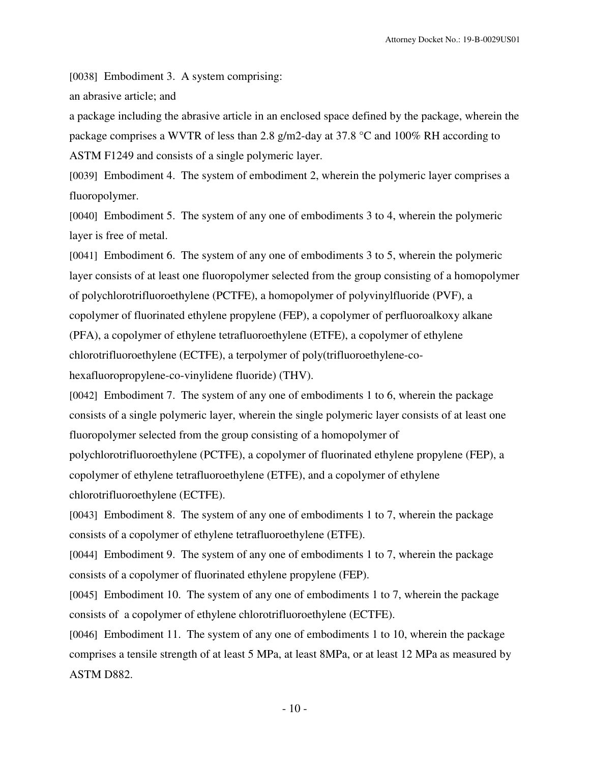[0038] Embodiment 3. A system comprising:

an abrasive article; and

a package including the abrasive article in an enclosed space defined by the package, wherein the package comprises a WVTR of less than 2.8 g/m2-day at 37.8 °C and 100% RH according to ASTM F1249 and consists of a single polymeric layer.

[0039] Embodiment 4. The system of embodiment 2, wherein the polymeric layer comprises a fluoropolymer.

[0040] Embodiment 5. The system of any one of embodiments 3 to 4, wherein the polymeric layer is free of metal.

[0041] Embodiment 6. The system of any one of embodiments 3 to 5, wherein the polymeric layer consists of at least one fluoropolymer selected from the group consisting of a homopolymer of polychlorotrifluoroethylene (PCTFE), a homopolymer of polyvinylfluoride (PVF), a copolymer of fluorinated ethylene propylene (FEP), a copolymer of perfluoroalkoxy alkane (PFA), a copolymer of ethylene tetrafluoroethylene (ETFE), a copolymer of ethylene chlorotrifluoroethylene (ECTFE), a terpolymer of poly(trifluoroethylene-cohexafluoropropylene-co-vinylidene fluoride) (THV).

[0042] Embodiment 7. The system of any one of embodiments 1 to 6, wherein the package consists of a single polymeric layer, wherein the single polymeric layer consists of at least one fluoropolymer selected from the group consisting of a homopolymer of

polychlorotrifluoroethylene (PCTFE), a copolymer of fluorinated ethylene propylene (FEP), a copolymer of ethylene tetrafluoroethylene (ETFE), and a copolymer of ethylene chlorotrifluoroethylene (ECTFE).

[0043] Embodiment 8. The system of any one of embodiments 1 to 7, wherein the package consists of a copolymer of ethylene tetrafluoroethylene (ETFE).

[0044] Embodiment 9. The system of any one of embodiments 1 to 7, wherein the package consists of a copolymer of fluorinated ethylene propylene (FEP).

[0045] Embodiment 10. The system of any one of embodiments 1 to 7, wherein the package consists of a copolymer of ethylene chlorotrifluoroethylene (ECTFE).

[0046] Embodiment 11. The system of any one of embodiments 1 to 10, wherein the package comprises a tensile strength of at least 5 MPa, at least 8MPa, or at least 12 MPa as measured by ASTM D882.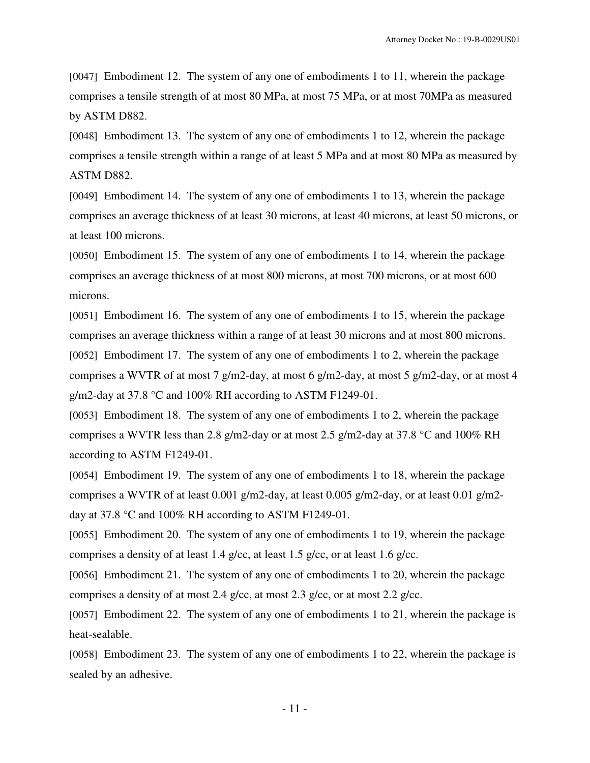[0047] Embodiment 12. The system of any one of embodiments 1 to 11, wherein the package comprises a tensile strength of at most 80 MPa, at most 75 MPa, or at most 70MPa as measured by ASTM D882.

[0048] Embodiment 13. The system of any one of embodiments 1 to 12, wherein the package comprises a tensile strength within a range of at least 5 MPa and at most 80 MPa as measured by ASTM D882.

[0049] Embodiment 14. The system of any one of embodiments 1 to 13, wherein the package comprises an average thickness of at least 30 microns, at least 40 microns, at least 50 microns, or at least 100 microns.

[0050] Embodiment 15. The system of any one of embodiments 1 to 14, wherein the package comprises an average thickness of at most 800 microns, at most 700 microns, or at most 600 microns.

[0051] Embodiment 16. The system of any one of embodiments 1 to 15, wherein the package comprises an average thickness within a range of at least 30 microns and at most 800 microns. [0052] Embodiment 17. The system of any one of embodiments 1 to 2, wherein the package comprises a WVTR of at most 7 g/m2-day, at most 6 g/m2-day, at most 5 g/m2-day, or at most 4 g/m2-day at 37.8 °C and 100% RH according to ASTM F1249-01.

[0053] Embodiment 18. The system of any one of embodiments 1 to 2, wherein the package comprises a WVTR less than 2.8 g/m2-day or at most 2.5 g/m2-day at 37.8  $\degree$ C and 100% RH according to ASTM F1249-01.

[0054] Embodiment 19. The system of any one of embodiments 1 to 18, wherein the package comprises a WVTR of at least 0.001 g/m2-day, at least 0.005 g/m2-day, or at least 0.01 g/m2 day at 37.8 °C and 100% RH according to ASTM F1249-01.

[0055] Embodiment 20. The system of any one of embodiments 1 to 19, wherein the package comprises a density of at least 1.4 g/cc, at least 1.5 g/cc, or at least 1.6 g/cc.

[0056] Embodiment 21. The system of any one of embodiments 1 to 20, wherein the package comprises a density of at most 2.4 g/cc, at most 2.3 g/cc, or at most 2.2 g/cc.

[0057] Embodiment 22. The system of any one of embodiments 1 to 21, wherein the package is heat-sealable.

[0058] Embodiment 23. The system of any one of embodiments 1 to 22, wherein the package is sealed by an adhesive.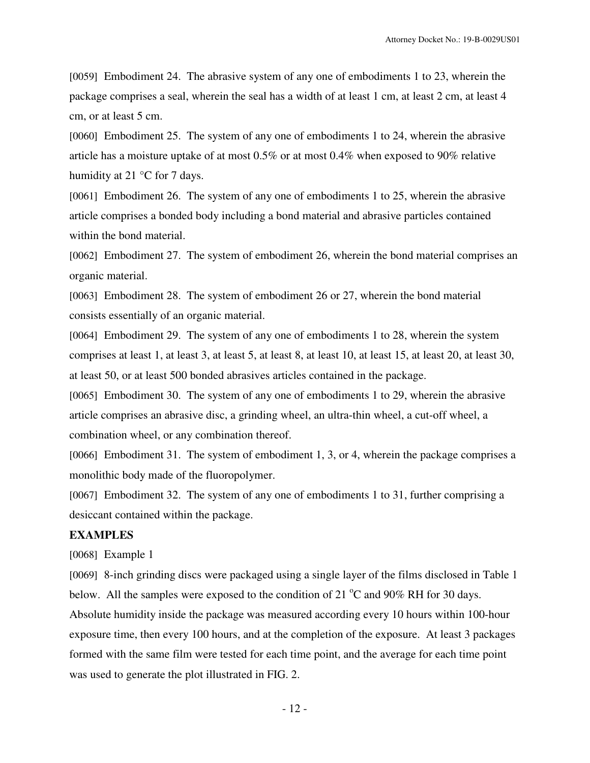[0059] Embodiment 24. The abrasive system of any one of embodiments 1 to 23, wherein the package comprises a seal, wherein the seal has a width of at least 1 cm, at least 2 cm, at least 4 cm, or at least 5 cm.

[0060] Embodiment 25. The system of any one of embodiments 1 to 24, wherein the abrasive article has a moisture uptake of at most 0.5% or at most 0.4% when exposed to 90% relative humidity at 21 °C for 7 days.

[0061] Embodiment 26. The system of any one of embodiments 1 to 25, wherein the abrasive article comprises a bonded body including a bond material and abrasive particles contained within the bond material.

[0062] Embodiment 27. The system of embodiment 26, wherein the bond material comprises an organic material.

[0063] Embodiment 28. The system of embodiment 26 or 27, wherein the bond material consists essentially of an organic material.

[0064] Embodiment 29. The system of any one of embodiments 1 to 28, wherein the system comprises at least 1, at least 3, at least 5, at least 8, at least 10, at least 15, at least 20, at least 30, at least 50, or at least 500 bonded abrasives articles contained in the package.

[0065] Embodiment 30. The system of any one of embodiments 1 to 29, wherein the abrasive article comprises an abrasive disc, a grinding wheel, an ultra-thin wheel, a cut-off wheel, a combination wheel, or any combination thereof.

[0066] Embodiment 31. The system of embodiment 1, 3, or 4, wherein the package comprises a monolithic body made of the fluoropolymer.

[0067] Embodiment 32. The system of any one of embodiments 1 to 31, further comprising a desiccant contained within the package.

# **EXAMPLES**

[0068] Example 1

[0069] 8-inch grinding discs were packaged using a single layer of the films disclosed in Table 1 below. All the samples were exposed to the condition of 21  $^{\circ}$ C and 90% RH for 30 days. Absolute humidity inside the package was measured according every 10 hours within 100-hour exposure time, then every 100 hours, and at the completion of the exposure. At least 3 packages formed with the same film were tested for each time point, and the average for each time point was used to generate the plot illustrated in FIG. 2.

- 12 -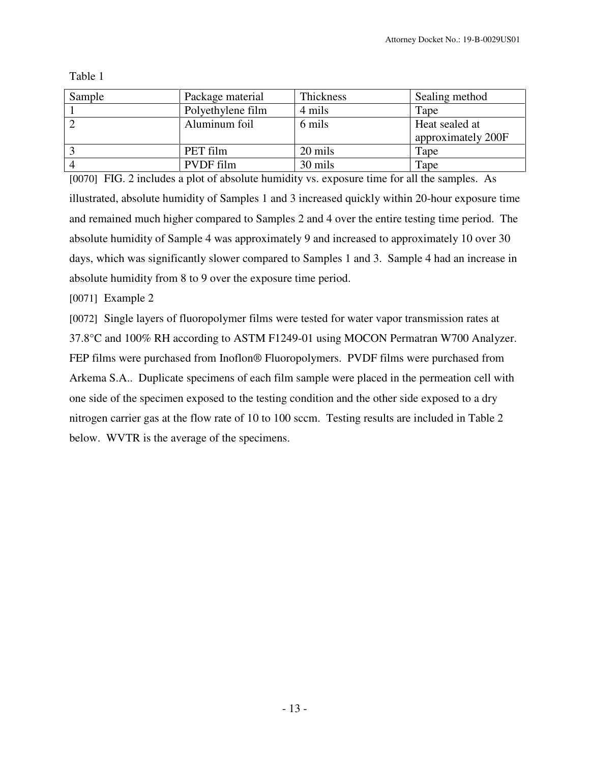Table 1

| Sample | Package material  | Thickness | Sealing method                       |  |
|--------|-------------------|-----------|--------------------------------------|--|
|        | Polyethylene film | 4 mils    | Tape                                 |  |
|        | Aluminum foil     | 6 mils    | Heat sealed at<br>approximately 200F |  |
|        | PET film          | 20 mils   | Tape                                 |  |
|        | PVDF film         | 30 mils   | Tape                                 |  |

[0070] FIG. 2 includes a plot of absolute humidity vs. exposure time for all the samples. As illustrated, absolute humidity of Samples 1 and 3 increased quickly within 20-hour exposure time and remained much higher compared to Samples 2 and 4 over the entire testing time period. The absolute humidity of Sample 4 was approximately 9 and increased to approximately 10 over 30 days, which was significantly slower compared to Samples 1 and 3. Sample 4 had an increase in absolute humidity from 8 to 9 over the exposure time period.

[0071] Example 2

[0072] Single layers of fluoropolymer films were tested for water vapor transmission rates at 37.8°C and 100% RH according to ASTM F1249-01 using MOCON Permatran W700 Analyzer. FEP films were purchased from Inoflon® Fluoropolymers. PVDF films were purchased from Arkema S.A.. Duplicate specimens of each film sample were placed in the permeation cell with one side of the specimen exposed to the testing condition and the other side exposed to a dry nitrogen carrier gas at the flow rate of 10 to 100 sccm. Testing results are included in Table 2 below. WVTR is the average of the specimens.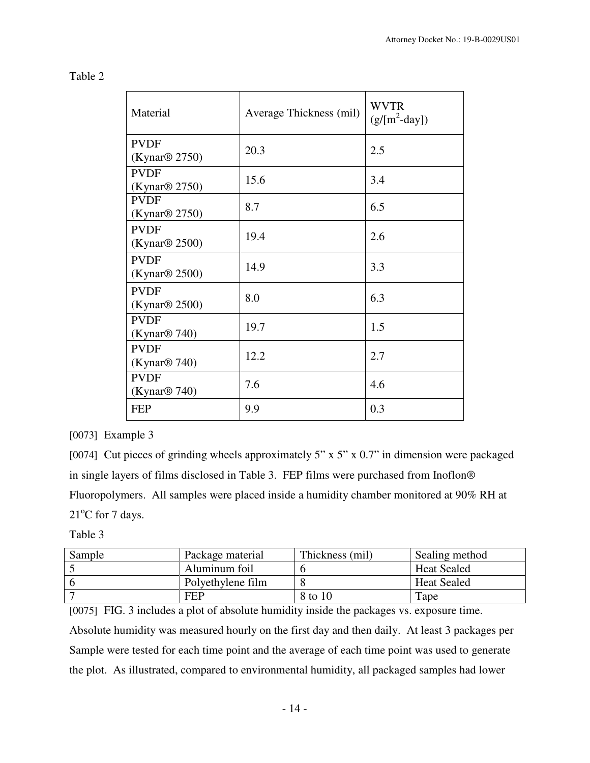| Material                                 | Average Thickness (mil) | <b>WVTR</b><br>$(g/[m^2-day])$ |
|------------------------------------------|-------------------------|--------------------------------|
| <b>PVDF</b><br>(Kynar <sup>®</sup> 2750) | 20.3                    | 2.5                            |
| <b>PVDF</b><br>(Kynar <sup>®</sup> 2750) | 15.6                    | 3.4                            |
| <b>PVDF</b><br>(Kynar@ 2750)             | 8.7                     | 6.5                            |
| <b>PVDF</b><br>(Kynar@ 2500)             | 19.4                    | 2.6                            |
| <b>PVDF</b><br>(Kynar@ 2500)             | 14.9                    | 3.3                            |
| <b>PVDF</b><br>(Kynar@ 2500)             | 8.0                     | 6.3                            |
| <b>PVDF</b><br>(Kynar@ 740)              | 19.7                    | 1.5                            |
| <b>PVDF</b><br>(Kynar@ 740)              | 12.2                    | 2.7                            |
| <b>PVDF</b><br>(Kynar@ 740)              | 7.6                     | 4.6                            |
| <b>FEP</b>                               | 9.9                     | 0.3                            |

## [0073] Example 3

[0074] Cut pieces of grinding wheels approximately 5" x 5" x 0.7" in dimension were packaged in single layers of films disclosed in Table 3. FEP films were purchased from Inoflon® Fluoropolymers. All samples were placed inside a humidity chamber monitored at 90% RH at  $21^{\circ}$ C for 7 days.

## Table 3

| Sample | Package material  | Thickness (mil) | Sealing method     |
|--------|-------------------|-----------------|--------------------|
|        | Aluminum foil     |                 | <b>Heat Sealed</b> |
|        | Polyethylene film |                 | <b>Heat Sealed</b> |
|        | <b>FEP</b>        | 8 to 10         | Tape               |

[0075] FIG. 3 includes a plot of absolute humidity inside the packages vs. exposure time. Absolute humidity was measured hourly on the first day and then daily. At least 3 packages per Sample were tested for each time point and the average of each time point was used to generate the plot. As illustrated, compared to environmental humidity, all packaged samples had lower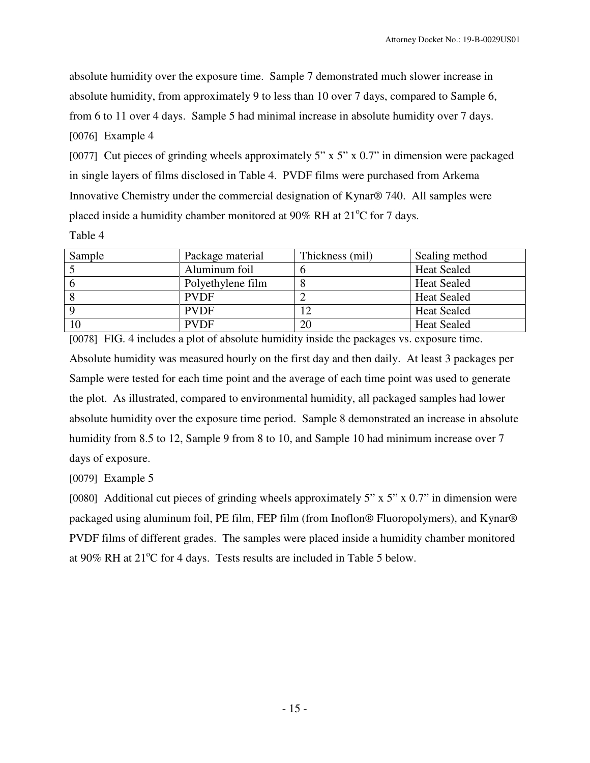absolute humidity over the exposure time. Sample 7 demonstrated much slower increase in absolute humidity, from approximately 9 to less than 10 over 7 days, compared to Sample 6, from 6 to 11 over 4 days. Sample 5 had minimal increase in absolute humidity over 7 days. [0076] Example 4

[0077] Cut pieces of grinding wheels approximately  $5"$  x  $5"$  x 0.7" in dimension were packaged in single layers of films disclosed in Table 4. PVDF films were purchased from Arkema Innovative Chemistry under the commercial designation of Kynar® 740. All samples were placed inside a humidity chamber monitored at  $90\%$  RH at  $21^{\circ}$ C for 7 days.

Table 4

| Sample | Package material  | Thickness (mil) | Sealing method     |
|--------|-------------------|-----------------|--------------------|
|        | Aluminum foil     |                 | <b>Heat Sealed</b> |
|        | Polyethylene film | Ω               | <b>Heat Sealed</b> |
|        | <b>PVDF</b>       |                 | <b>Heat Sealed</b> |
|        | <b>PVDF</b>       |                 | <b>Heat Sealed</b> |
|        | <b>PVDF</b>       | 20              | <b>Heat Sealed</b> |

[0078] FIG. 4 includes a plot of absolute humidity inside the packages vs. exposure time. Absolute humidity was measured hourly on the first day and then daily. At least 3 packages per Sample were tested for each time point and the average of each time point was used to generate the plot. As illustrated, compared to environmental humidity, all packaged samples had lower absolute humidity over the exposure time period. Sample 8 demonstrated an increase in absolute humidity from 8.5 to 12, Sample 9 from 8 to 10, and Sample 10 had minimum increase over 7 days of exposure.

[0079] Example 5

[0080] Additional cut pieces of grinding wheels approximately 5" x 5" x  $0.7$ " in dimension were packaged using aluminum foil, PE film, FEP film (from Inoflon® Fluoropolymers), and Kynar® PVDF films of different grades. The samples were placed inside a humidity chamber monitored at 90% RH at  $21^{\circ}$ C for 4 days. Tests results are included in Table 5 below.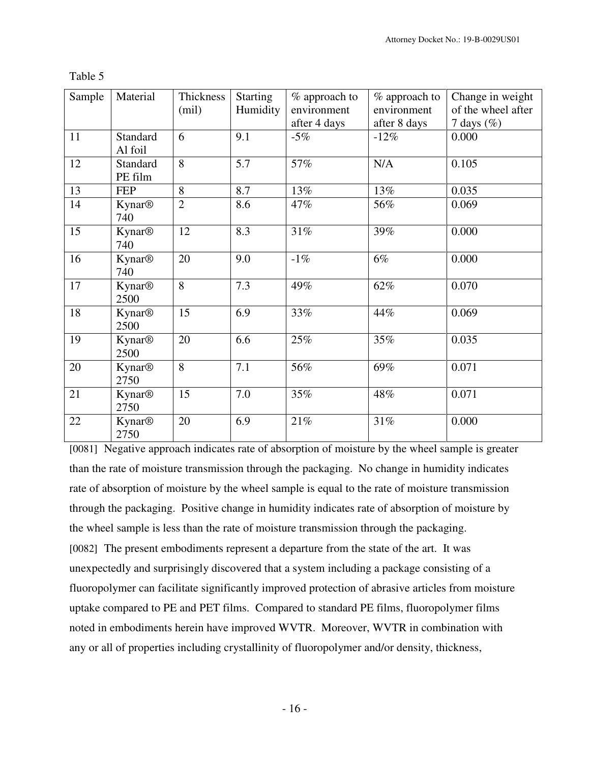| Sample | Material                         | Thickness<br>(mil) | <b>Starting</b><br>Humidity | % approach to<br>environment | % approach to<br>environment | Change in weight<br>of the wheel after |
|--------|----------------------------------|--------------------|-----------------------------|------------------------------|------------------------------|----------------------------------------|
|        |                                  |                    |                             | after 4 days                 | after 8 days                 | 7 days $(\%)$                          |
| 11     | Standard<br>Al foil              | 6                  | 9.1                         | $-5%$                        | $-12%$                       | 0.000                                  |
| 12     | Standard<br>PE film              | 8                  | 5.7                         | 57%                          | N/A                          | 0.105                                  |
| 13     | <b>FEP</b>                       | 8                  | 8.7                         | 13%                          | 13%                          | 0.035                                  |
| 14     | <b>Kynar®</b><br>740             | $\overline{2}$     | 8.6                         | 47%                          | 56%                          | 0.069                                  |
| 15     | <b>Kynar®</b><br>740             | 12                 | 8.3                         | 31%                          | 39%                          | 0.000                                  |
| 16     | <b>Kynar®</b><br>740             | 20                 | 9.0                         | $-1\%$                       | 6%                           | 0.000                                  |
| 17     | <b>Kynar®</b><br>2500            | 8                  | 7.3                         | 49%                          | 62%                          | 0.070                                  |
| 18     | <b>Kynar®</b><br>2500            | 15                 | 6.9                         | 33%                          | 44%                          | 0.069                                  |
| 19     | <b>Kynar®</b><br>2500            | 20                 | 6.6                         | 25%                          | 35%                          | 0.035                                  |
| 20     | <b>Kynar®</b><br>2750            | 8                  | 7.1                         | 56%                          | 69%                          | 0.071                                  |
| 21     | <b>Kynar®</b><br>2750            | 15                 | 7.0                         | 35%                          | 48%                          | 0.071                                  |
| 22     | <b>Kynar<sup>®</sup></b><br>2750 | 20                 | 6.9                         | 21%                          | $31\%$                       | 0.000                                  |

Table 5

[0081] Negative approach indicates rate of absorption of moisture by the wheel sample is greater than the rate of moisture transmission through the packaging. No change in humidity indicates rate of absorption of moisture by the wheel sample is equal to the rate of moisture transmission through the packaging. Positive change in humidity indicates rate of absorption of moisture by the wheel sample is less than the rate of moisture transmission through the packaging. [0082] The present embodiments represent a departure from the state of the art. It was unexpectedly and surprisingly discovered that a system including a package consisting of a fluoropolymer can facilitate significantly improved protection of abrasive articles from moisture uptake compared to PE and PET films. Compared to standard PE films, fluoropolymer films noted in embodiments herein have improved WVTR. Moreover, WVTR in combination with any or all of properties including crystallinity of fluoropolymer and/or density, thickness,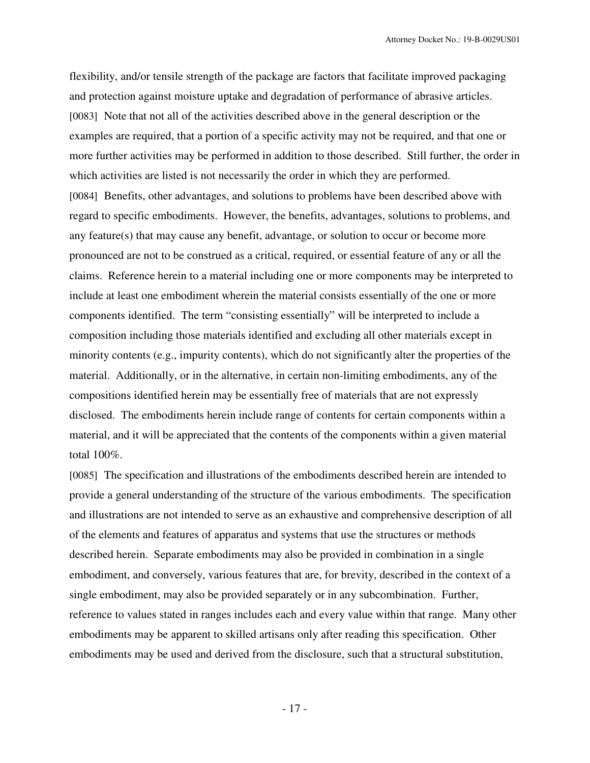flexibility, and/or tensile strength of the package are factors that facilitate improved packaging and protection against moisture uptake and degradation of performance of abrasive articles. [0083] Note that not all of the activities described above in the general description or the examples are required, that a portion of a specific activity may not be required, and that one or more further activities may be performed in addition to those described. Still further, the order in which activities are listed is not necessarily the order in which they are performed. [0084] Benefits, other advantages, and solutions to problems have been described above with regard to specific embodiments. However, the benefits, advantages, solutions to problems, and any feature(s) that may cause any benefit, advantage, or solution to occur or become more pronounced are not to be construed as a critical, required, or essential feature of any or all the claims. Reference herein to a material including one or more components may be interpreted to include at least one embodiment wherein the material consists essentially of the one or more components identified. The term "consisting essentially" will be interpreted to include a composition including those materials identified and excluding all other materials except in minority contents (e.g., impurity contents), which do not significantly alter the properties of the material. Additionally, or in the alternative, in certain non-limiting embodiments, any of the compositions identified herein may be essentially free of materials that are not expressly disclosed. The embodiments herein include range of contents for certain components within a material, and it will be appreciated that the contents of the components within a given material total 100%.

[0085] The specification and illustrations of the embodiments described herein are intended to provide a general understanding of the structure of the various embodiments. The specification and illustrations are not intended to serve as an exhaustive and comprehensive description of all of the elements and features of apparatus and systems that use the structures or methods described herein. Separate embodiments may also be provided in combination in a single embodiment, and conversely, various features that are, for brevity, described in the context of a single embodiment, may also be provided separately or in any subcombination. Further, reference to values stated in ranges includes each and every value within that range. Many other embodiments may be apparent to skilled artisans only after reading this specification. Other embodiments may be used and derived from the disclosure, such that a structural substitution,

- 17 -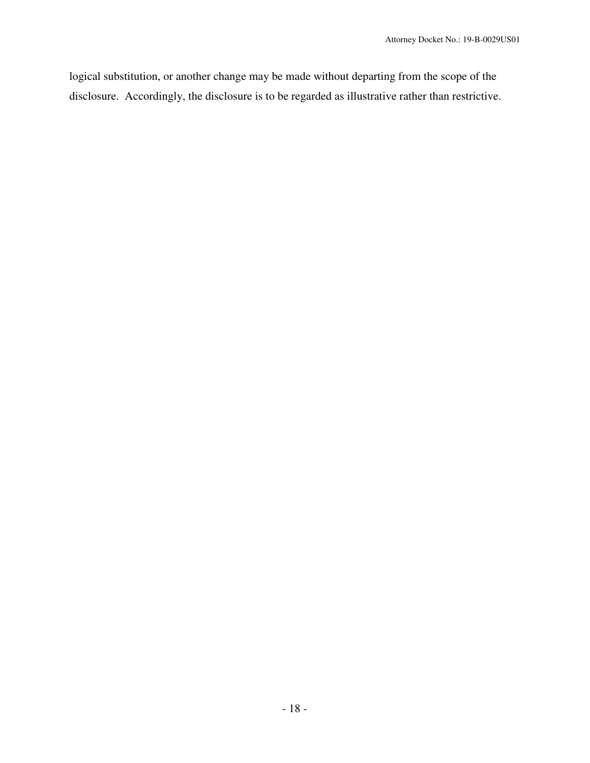logical substitution, or another change may be made without departing from the scope of the disclosure. Accordingly, the disclosure is to be regarded as illustrative rather than restrictive.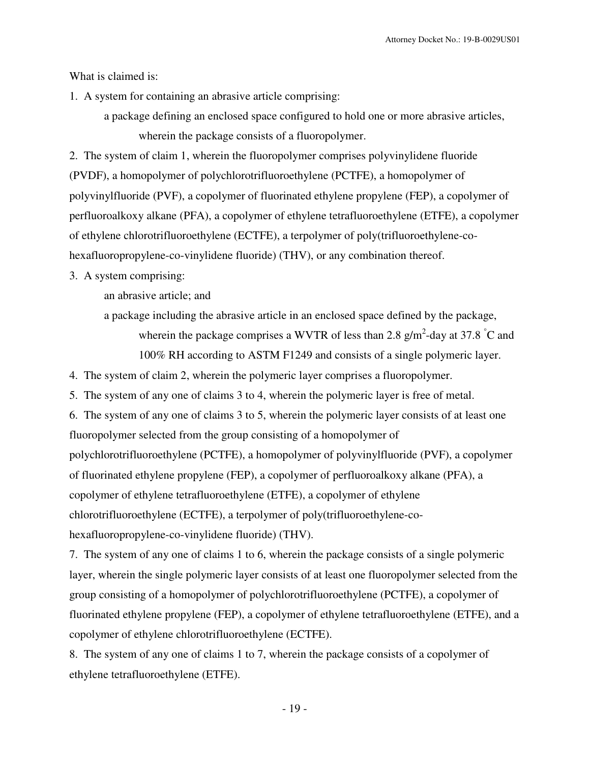What is claimed is:

1. A system for containing an abrasive article comprising:

a package defining an enclosed space configured to hold one or more abrasive articles, wherein the package consists of a fluoropolymer.

2. The system of claim 1, wherein the fluoropolymer comprises polyvinylidene fluoride (PVDF), a homopolymer of polychlorotrifluoroethylene (PCTFE), a homopolymer of polyvinylfluoride (PVF), a copolymer of fluorinated ethylene propylene (FEP), a copolymer of perfluoroalkoxy alkane (PFA), a copolymer of ethylene tetrafluoroethylene (ETFE), a copolymer of ethylene chlorotrifluoroethylene (ECTFE), a terpolymer of poly(trifluoroethylene-cohexafluoropropylene-co-vinylidene fluoride) (THV), or any combination thereof.

3. A system comprising:

an abrasive article; and

a package including the abrasive article in an enclosed space defined by the package, wherein the package comprises a WVTR of less than 2.8  $g/m^2$ -day at 37.8 °C and 100% RH according to ASTM F1249 and consists of a single polymeric layer.

4. The system of claim 2, wherein the polymeric layer comprises a fluoropolymer.

5. The system of any one of claims 3 to 4, wherein the polymeric layer is free of metal.

6. The system of any one of claims 3 to 5, wherein the polymeric layer consists of at least one fluoropolymer selected from the group consisting of a homopolymer of polychlorotrifluoroethylene (PCTFE), a homopolymer of polyvinylfluoride (PVF), a copolymer of fluorinated ethylene propylene (FEP), a copolymer of perfluoroalkoxy alkane (PFA), a copolymer of ethylene tetrafluoroethylene (ETFE), a copolymer of ethylene chlorotrifluoroethylene (ECTFE), a terpolymer of poly(trifluoroethylene-cohexafluoropropylene-co-vinylidene fluoride) (THV).

7. The system of any one of claims 1 to 6, wherein the package consists of a single polymeric layer, wherein the single polymeric layer consists of at least one fluoropolymer selected from the group consisting of a homopolymer of polychlorotrifluoroethylene (PCTFE), a copolymer of fluorinated ethylene propylene (FEP), a copolymer of ethylene tetrafluoroethylene (ETFE), and a copolymer of ethylene chlorotrifluoroethylene (ECTFE).

8. The system of any one of claims 1 to 7, wherein the package consists of a copolymer of ethylene tetrafluoroethylene (ETFE).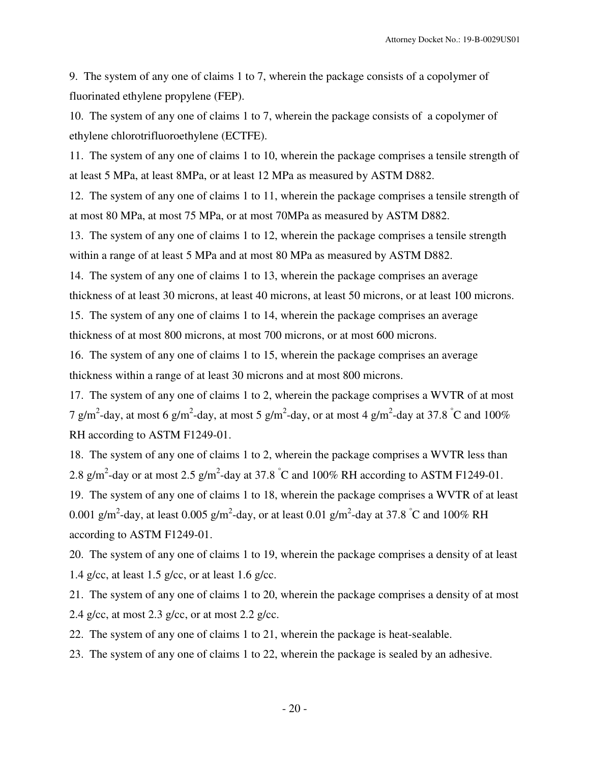9. The system of any one of claims 1 to 7, wherein the package consists of a copolymer of fluorinated ethylene propylene (FEP).

10. The system of any one of claims 1 to 7, wherein the package consists of a copolymer of ethylene chlorotrifluoroethylene (ECTFE).

11. The system of any one of claims 1 to 10, wherein the package comprises a tensile strength of at least 5 MPa, at least 8MPa, or at least 12 MPa as measured by ASTM D882.

12. The system of any one of claims 1 to 11, wherein the package comprises a tensile strength of at most 80 MPa, at most 75 MPa, or at most 70MPa as measured by ASTM D882.

13. The system of any one of claims 1 to 12, wherein the package comprises a tensile strength within a range of at least 5 MPa and at most 80 MPa as measured by ASTM D882.

14. The system of any one of claims 1 to 13, wherein the package comprises an average thickness of at least 30 microns, at least 40 microns, at least 50 microns, or at least 100 microns.

15. The system of any one of claims 1 to 14, wherein the package comprises an average thickness of at most 800 microns, at most 700 microns, or at most 600 microns.

16. The system of any one of claims 1 to 15, wherein the package comprises an average thickness within a range of at least 30 microns and at most 800 microns.

17. The system of any one of claims 1 to 2, wherein the package comprises a WVTR of at most 7 g/m<sup>2</sup>-day, at most 6 g/m<sup>2</sup>-day, at most 5 g/m<sup>2</sup>-day, or at most 4 g/m<sup>2</sup>-day at 37.8 °C and 100% RH according to ASTM F1249-01.

18. The system of any one of claims 1 to 2, wherein the package comprises a WVTR less than 2.8 g/m<sup>2</sup>-day or at most 2.5 g/m<sup>2</sup>-day at 37.8 °C and 100% RH according to ASTM F1249-01.

19. The system of any one of claims 1 to 18, wherein the package comprises a WVTR of at least 0.001 g/m<sup>2</sup>-day, at least 0.005 g/m<sup>2</sup>-day, or at least 0.01 g/m<sup>2</sup>-day at 37.8 °C and 100% RH according to ASTM F1249-01.

20. The system of any one of claims 1 to 19, wherein the package comprises a density of at least 1.4 g/cc, at least 1.5 g/cc, or at least 1.6 g/cc.

21. The system of any one of claims 1 to 20, wherein the package comprises a density of at most 2.4 g/cc, at most 2.3 g/cc, or at most 2.2 g/cc.

22. The system of any one of claims 1 to 21, wherein the package is heat-sealable.

23. The system of any one of claims 1 to 22, wherein the package is sealed by an adhesive.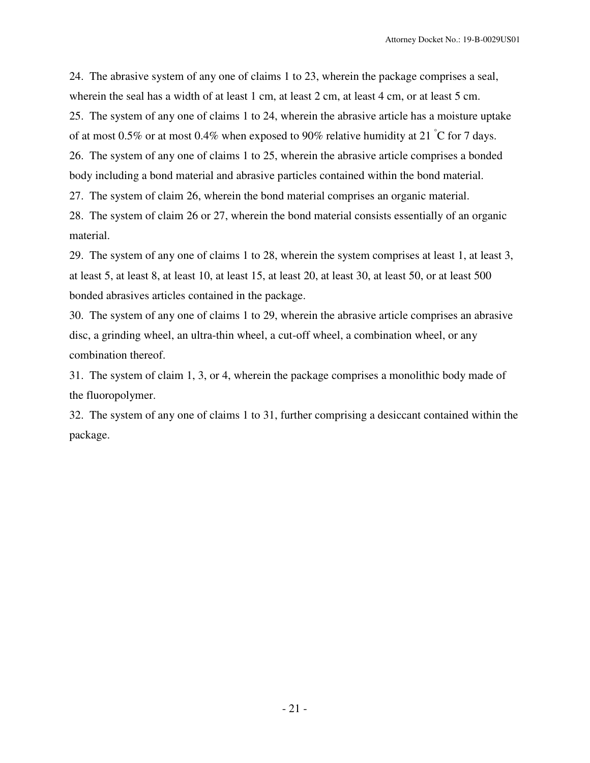24. The abrasive system of any one of claims 1 to 23, wherein the package comprises a seal, wherein the seal has a width of at least 1 cm, at least 2 cm, at least 4 cm, or at least 5 cm. 25. The system of any one of claims 1 to 24, wherein the abrasive article has a moisture uptake of at most 0.5% or at most 0.4% when exposed to 90% relative humidity at 21  $\degree$ C for 7 days. 26. The system of any one of claims 1 to 25, wherein the abrasive article comprises a bonded body including a bond material and abrasive particles contained within the bond material.

27. The system of claim 26, wherein the bond material comprises an organic material.

28. The system of claim 26 or 27, wherein the bond material consists essentially of an organic material.

29. The system of any one of claims 1 to 28, wherein the system comprises at least 1, at least 3, at least 5, at least 8, at least 10, at least 15, at least 20, at least 30, at least 50, or at least 500 bonded abrasives articles contained in the package.

30. The system of any one of claims 1 to 29, wherein the abrasive article comprises an abrasive disc, a grinding wheel, an ultra-thin wheel, a cut-off wheel, a combination wheel, or any combination thereof.

31. The system of claim 1, 3, or 4, wherein the package comprises a monolithic body made of the fluoropolymer.

32. The system of any one of claims 1 to 31, further comprising a desiccant contained within the package.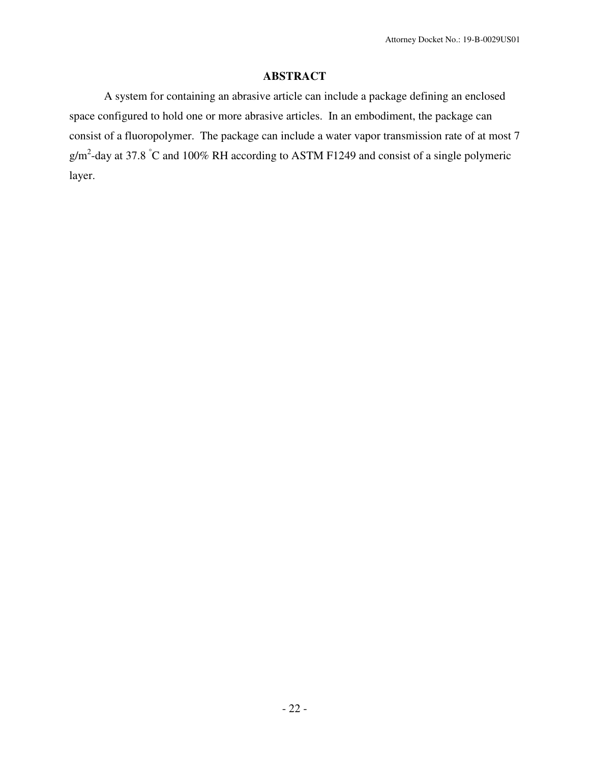# **ABSTRACT**

A system for containing an abrasive article can include a package defining an enclosed space configured to hold one or more abrasive articles. In an embodiment, the package can consist of a fluoropolymer. The package can include a water vapor transmission rate of at most 7  $g/m^2$ -day at 37.8 °C and 100% RH according to ASTM F1249 and consist of a single polymeric layer.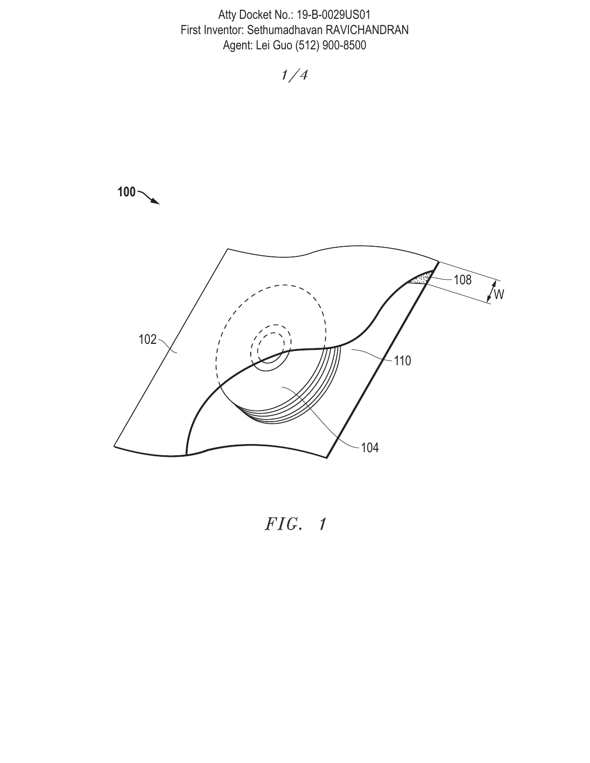

*FIG. 1*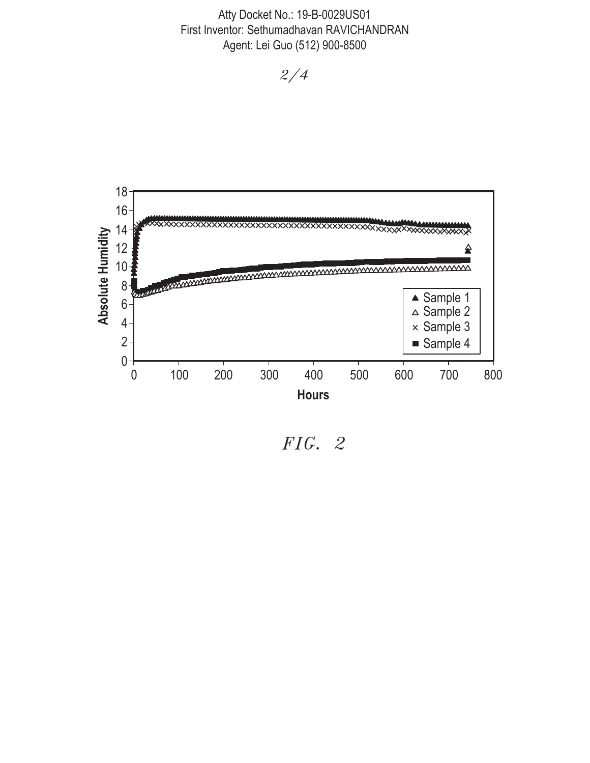

*FIG. 2*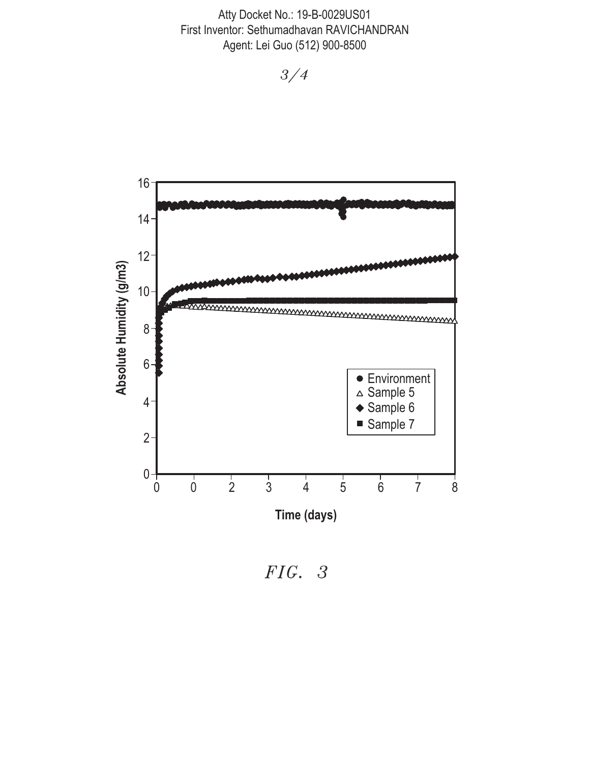

*FIG. 3*